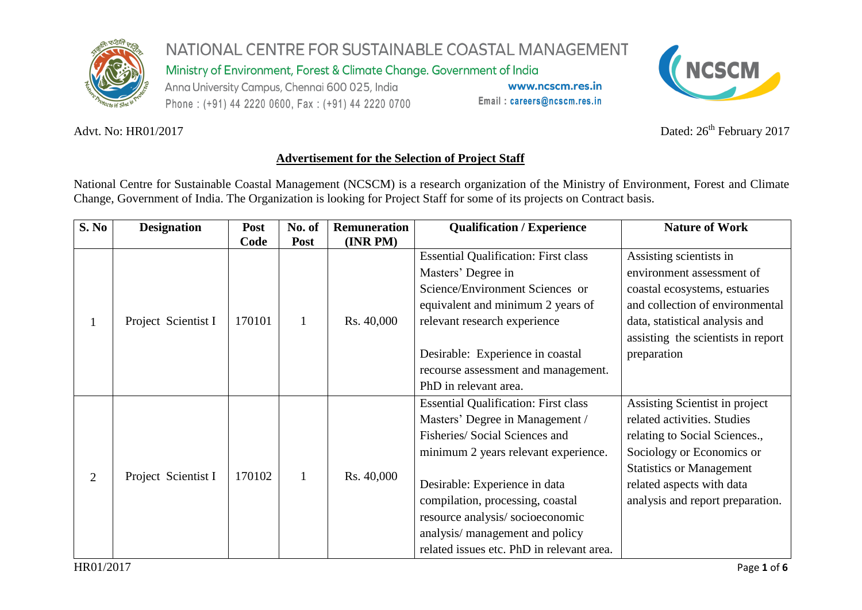

Ministry of Environment, Forest & Climate Change. Government of India

Anna University Campus, Chennai 600 025, India Phone: (+91) 44 2220 0600, Fax: (+91) 44 2220 0700

www.ncscm.res.in Email: careers@ncscm.res.in



Advt. No: HR01/2017

Dated:  $26<sup>th</sup>$  February 2017

## **Advertisement for the Selection of Project Staff**

National Centre for Sustainable Coastal Management (NCSCM) is a research organization of the Ministry of Environment, Forest and Climate Change, Government of India. The Organization is looking for Project Staff for some of its projects on Contract basis.

| S. No          | <b>Designation</b>  | <b>Post</b> | No. of | <b>Remuneration</b> | <b>Qualification / Experience</b>           | <b>Nature of Work</b>              |
|----------------|---------------------|-------------|--------|---------------------|---------------------------------------------|------------------------------------|
|                |                     | Code        | Post   | (INR PM)            |                                             |                                    |
|                | Project Scientist I | 170101      | 1      | Rs. 40,000          | <b>Essential Qualification: First class</b> | Assisting scientists in            |
|                |                     |             |        |                     | Masters' Degree in                          | environment assessment of          |
|                |                     |             |        |                     | Science/Environment Sciences or             | coastal ecosystems, estuaries      |
|                |                     |             |        |                     | equivalent and minimum 2 years of           | and collection of environmental    |
|                |                     |             |        |                     | relevant research experience                | data, statistical analysis and     |
|                |                     |             |        |                     |                                             | assisting the scientists in report |
|                |                     |             |        |                     | Desirable: Experience in coastal            | preparation                        |
|                |                     |             |        |                     | recourse assessment and management.         |                                    |
|                |                     |             |        |                     | PhD in relevant area.                       |                                    |
| $\overline{2}$ | Project Scientist I | 170102      | 1      | Rs. 40,000          | <b>Essential Qualification: First class</b> | Assisting Scientist in project     |
|                |                     |             |        |                     | Masters' Degree in Management /             | related activities. Studies        |
|                |                     |             |        |                     | Fisheries/ Social Sciences and              | relating to Social Sciences.,      |
|                |                     |             |        |                     | minimum 2 years relevant experience.        | Sociology or Economics or          |
|                |                     |             |        |                     |                                             | <b>Statistics or Management</b>    |
|                |                     |             |        |                     | Desirable: Experience in data               | related aspects with data          |
|                |                     |             |        |                     | compilation, processing, coastal            | analysis and report preparation.   |
|                |                     |             |        |                     | resource analysis/socioeconomic             |                                    |
|                |                     |             |        |                     | analysis/ management and policy             |                                    |
|                |                     |             |        |                     | related issues etc. PhD in relevant area.   |                                    |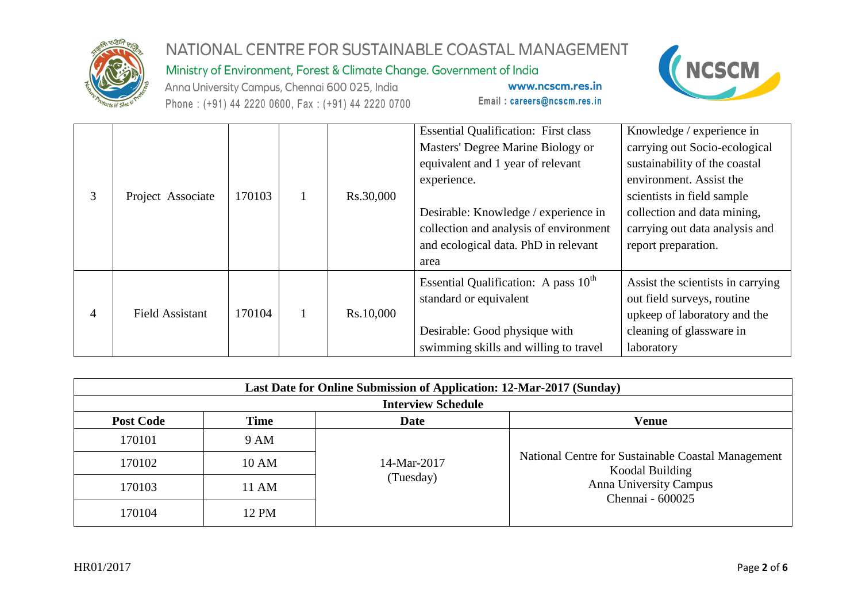

Ministry of Environment, Forest & Climate Change. Government of India

Anna University Campus, Chennai 600 025, India Phone: (+91) 44 2220 0600, Fax: (+91) 44 2220 0700

www.ncscm.res.in Email: careers@ncscm.res.in



| Project Associate      | 170103 | Rs.30,000 | <b>Essential Qualification: First class</b><br>Masters' Degree Marine Biology or<br>equivalent and 1 year of relevant<br>experience.<br>Desirable: Knowledge / experience in<br>collection and analysis of environment<br>and ecological data. PhD in relevant<br>area | Knowledge / experience in<br>carrying out Socio-ecological<br>sustainability of the coastal<br>environment. Assist the<br>scientists in field sample<br>collection and data mining,<br>carrying out data analysis and<br>report preparation. |
|------------------------|--------|-----------|------------------------------------------------------------------------------------------------------------------------------------------------------------------------------------------------------------------------------------------------------------------------|----------------------------------------------------------------------------------------------------------------------------------------------------------------------------------------------------------------------------------------------|
| <b>Field Assistant</b> | 170104 | Rs.10,000 | Essential Qualification: A pass 10 <sup>th</sup><br>standard or equivalent<br>Desirable: Good physique with<br>swimming skills and willing to travel                                                                                                                   | Assist the scientists in carrying<br>out field surveys, routine<br>upkeep of laboratory and the<br>cleaning of glassware in<br>laboratory                                                                                                    |

| Last Date for Online Submission of Application: 12-Mar-2017 (Sunday) |             |             |                                                                                                                     |  |  |  |  |  |
|----------------------------------------------------------------------|-------------|-------------|---------------------------------------------------------------------------------------------------------------------|--|--|--|--|--|
| <b>Interview Schedule</b>                                            |             |             |                                                                                                                     |  |  |  |  |  |
| <b>Post Code</b>                                                     | <b>Time</b> | <b>Date</b> | Venue                                                                                                               |  |  |  |  |  |
| 170101                                                               | 9 AM        |             | National Centre for Sustainable Coastal Management<br>Koodal Building<br>Anna University Campus<br>Chennai - 600025 |  |  |  |  |  |
| 170102                                                               | 10 AM       | 14-Mar-2017 |                                                                                                                     |  |  |  |  |  |
| 170103                                                               | 11 AM       | (Tuesday)   |                                                                                                                     |  |  |  |  |  |
| 170104                                                               | 12 PM       |             |                                                                                                                     |  |  |  |  |  |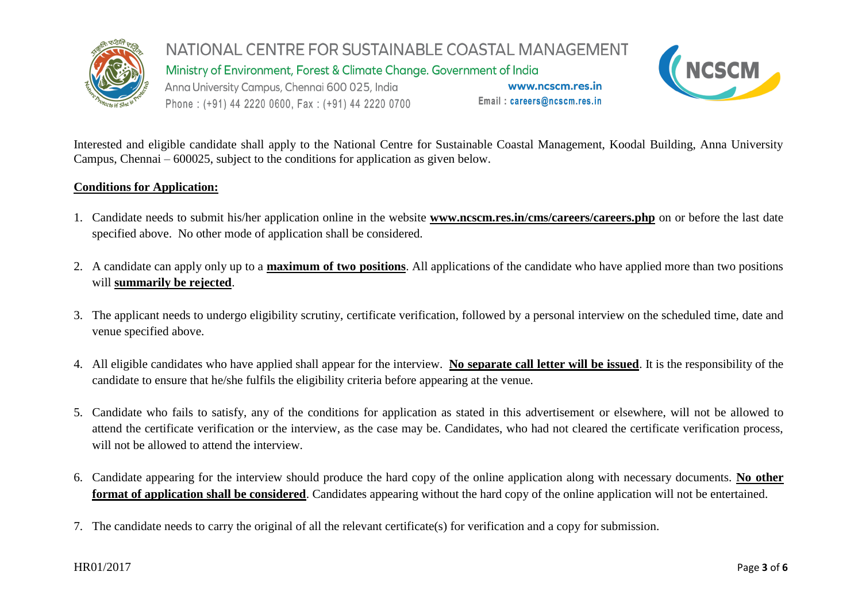

NATIONAL CENTRE FOR SUSTAINABLE COASTAL MANAGEMENT Ministry of Environment, Forest & Climate Change. Government of India Anna University Campus, Chennai 600 025, India www.ncscm.res.in Email: careers@ncscm.res.in Phone: (+91) 44 2220 0600, Fax: (+91) 44 2220 0700



Interested and eligible candidate shall apply to the National Centre for Sustainable Coastal Management, Koodal Building, Anna University Campus, Chennai – 600025, subject to the conditions for application as given below.

## **Conditions for Application:**

- 1. Candidate needs to submit his/her application online in the website **[www.ncscm.res.in/](http://www.ncscm.res.in/)cms/careers/careers.php** on or before the last date specified above. No other mode of application shall be considered.
- 2. A candidate can apply only up to a **maximum of two positions**. All applications of the candidate who have applied more than two positions will **summarily be rejected**.
- 3. The applicant needs to undergo eligibility scrutiny, certificate verification, followed by a personal interview on the scheduled time, date and venue specified above.
- 4. All eligible candidates who have applied shall appear for the interview. **No separate call letter will be issued**. It is the responsibility of the candidate to ensure that he/she fulfils the eligibility criteria before appearing at the venue.
- 5. Candidate who fails to satisfy, any of the conditions for application as stated in this advertisement or elsewhere, will not be allowed to attend the certificate verification or the interview, as the case may be. Candidates, who had not cleared the certificate verification process, will not be allowed to attend the interview.
- 6. Candidate appearing for the interview should produce the hard copy of the online application along with necessary documents. **No other format of application shall be considered**. Candidates appearing without the hard copy of the online application will not be entertained.
- 7. The candidate needs to carry the original of all the relevant certificate(s) for verification and a copy for submission.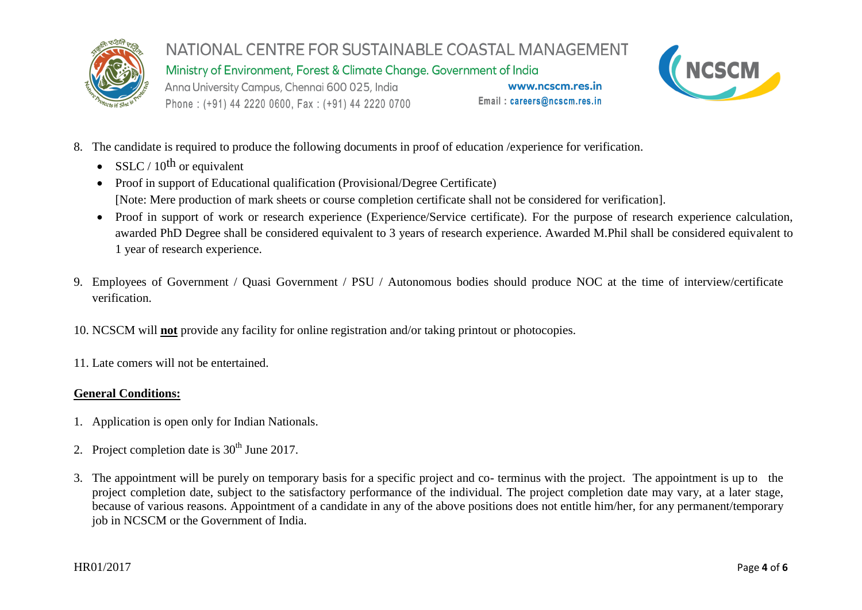

Ministry of Environment, Forest & Climate Change. Government of India

Anna University Campus, Chennai 600 025, India Phone: (+91) 44 2220 0600, Fax: (+91) 44 2220 0700

www.ncscm.res.in Email: careers@ncscm.res.in



- 8. The candidate is required to produce the following documents in proof of education /experience for verification.
	- SSLC / 10<sup>th</sup> or equivalent
	- Proof in support of Educational qualification (Provisional/Degree Certificate) [Note: Mere production of mark sheets or course completion certificate shall not be considered for verification].
	- Proof in support of work or research experience (Experience/Service certificate). For the purpose of research experience calculation, awarded PhD Degree shall be considered equivalent to 3 years of research experience. Awarded M.Phil shall be considered equivalent to 1 year of research experience.
- 9. Employees of Government / Quasi Government / PSU / Autonomous bodies should produce NOC at the time of interview/certificate verification.
- 10. NCSCM will **not** provide any facility for online registration and/or taking printout or photocopies.
- 11. Late comers will not be entertained.

## **General Conditions:**

- 1. Application is open only for Indian Nationals.
- 2. Project completion date is  $30<sup>th</sup>$  June 2017.
- 3. The appointment will be purely on temporary basis for a specific project and co- terminus with the project. The appointment is up to the project completion date, subject to the satisfactory performance of the individual. The project completion date may vary, at a later stage, because of various reasons. Appointment of a candidate in any of the above positions does not entitle him/her, for any permanent/temporary job in NCSCM or the Government of India.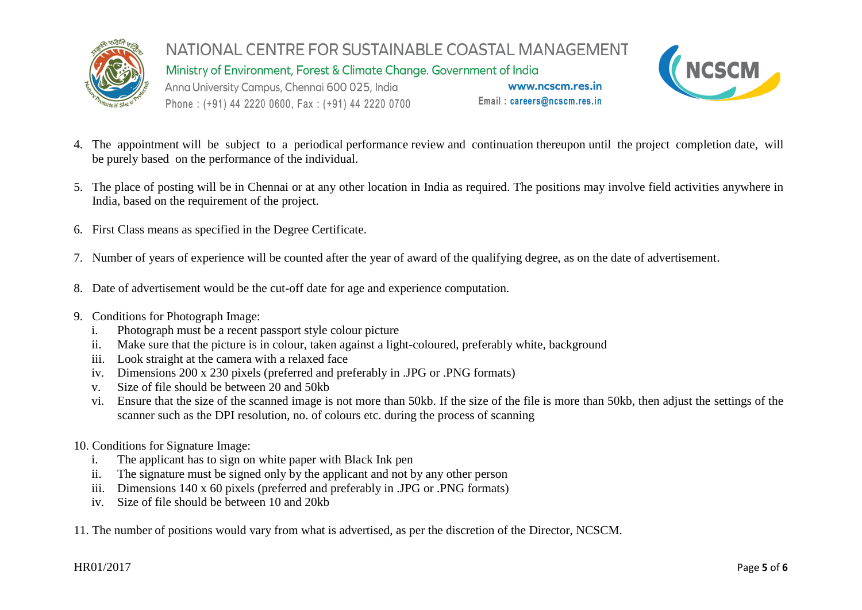

NATIONAL CENTRE FOR SUSTAINABLE COASTAL MANAGEMENT Ministry of Environment, Forest & Climate Change. Government of India Anna University Campus, Chennai 600 025, India www.ncscm.res.in

Phone: (+91) 44 2220 0600, Fax: (+91) 44 2220 0700

Email: careers@ncscm.res.in



- 4. The appointment will be subject to a periodical performance review and continuation thereupon until the project completion date, will be purely based on the performance of the individual.
- 5. The place of posting will be in Chennai or at any other location in India as required. The positions may involve field activities anywhere in India, based on the requirement of the project.
- 6. First Class means as specified in the Degree Certificate.
- 7. Number of years of experience will be counted after the year of award of the qualifying degree, as on the date of advertisement.
- 8. Date of advertisement would be the cut-off date for age and experience computation.
- 9. Conditions for Photograph Image:
	- i. Photograph must be a recent passport style colour picture
	- ii. Make sure that the picture is in colour, taken against a light-coloured, preferably white, background
	- iii. Look straight at the camera with a relaxed face
	- iv. Dimensions 200 x 230 pixels (preferred and preferably in .JPG or .PNG formats)
	- v. Size of file should be between 20 and 50kb
	- vi. Ensure that the size of the scanned image is not more than 50kb. If the size of the file is more than 50kb, then adjust the settings of the scanner such as the DPI resolution, no. of colours etc. during the process of scanning
- 10. Conditions for Signature Image:
	- i. The applicant has to sign on white paper with Black Ink pen
	- ii. The signature must be signed only by the applicant and not by any other person
	- iii. Dimensions 140 x 60 pixels (preferred and preferably in .JPG or .PNG formats)
	- iv. Size of file should be between 10 and 20kb
- 11. The number of positions would vary from what is advertised, as per the discretion of the Director, NCSCM.